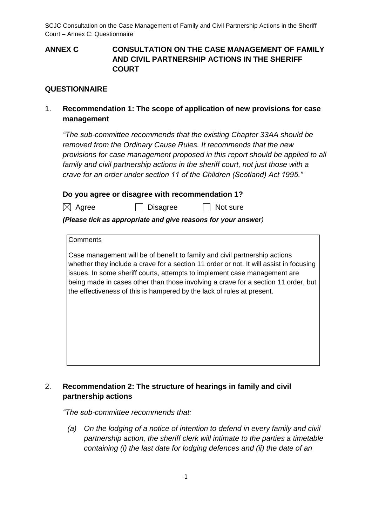**ANNEX C CONSULTATION ON THE CASE MANAGEMENT OF FAMILY AND CIVIL PARTNERSHIP ACTIONS IN THE SHERIFF COURT**

### **QUESTIONNAIRE**

1. **Recommendation 1: The scope of application of new provisions for case management**

*"The sub-committee recommends that the existing Chapter 33AA should be removed from the Ordinary Cause Rules. It recommends that the new provisions for case management proposed in this report should be applied to all family and civil partnership actions in the sheriff court, not just those with a crave for an order under section 11 of the Children (Scotland) Act 1995."*

### **Do you agree or disagree with recommendation 1?**

 $\boxtimes$  Agree  $\Box$  Disagree  $\Box$  Not sure

#### *(Please tick as appropriate and give reasons for your answer)*

#### **Comments**

Case management will be of benefit to family and civil partnership actions whether they include a crave for a section 11 order or not. It will assist in focusing issues. In some sheriff courts, attempts to implement case management are being made in cases other than those involving a crave for a section 11 order, but the effectiveness of this is hampered by the lack of rules at present.

# 2. **Recommendation 2: The structure of hearings in family and civil partnership actions**

*"The sub-committee recommends that:*

*(a) On the lodging of a notice of intention to defend in every family and civil partnership action, the sheriff clerk will intimate to the parties a timetable containing (i) the last date for lodging defences and (ii) the date of an*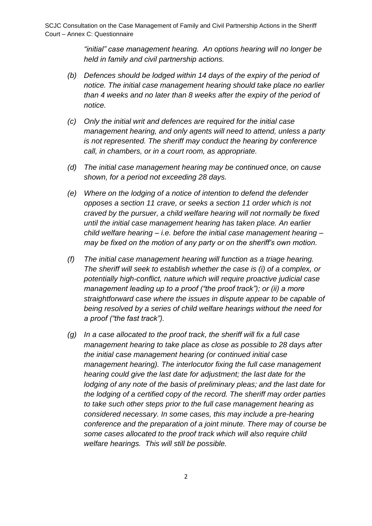*"initial" case management hearing. An options hearing will no longer be held in family and civil partnership actions.* 

- *(b) Defences should be lodged within 14 days of the expiry of the period of notice. The initial case management hearing should take place no earlier than 4 weeks and no later than 8 weeks after the expiry of the period of notice.*
- *(c) Only the initial writ and defences are required for the initial case management hearing, and only agents will need to attend, unless a party is not represented. The sheriff may conduct the hearing by conference call, in chambers, or in a court room, as appropriate.*
- *(d) The initial case management hearing may be continued once, on cause shown, for a period not exceeding 28 days.*
- *(e) Where on the lodging of a notice of intention to defend the defender opposes a section 11 crave, or seeks a section 11 order which is not craved by the pursuer, a child welfare hearing will not normally be fixed until the initial case management hearing has taken place. An earlier child welfare hearing – i.e. before the initial case management hearing – may be fixed on the motion of any party or on the sheriff's own motion.*
- *(f) The initial case management hearing will function as a triage hearing. The sheriff will seek to establish whether the case is (i) of a complex, or potentially high-conflict, nature which will require proactive judicial case management leading up to a proof ("the proof track"); or (ii) a more straightforward case where the issues in dispute appear to be capable of being resolved by a series of child welfare hearings without the need for a proof ("the fast track").*
- *(g) In a case allocated to the proof track, the sheriff will fix a full case management hearing to take place as close as possible to 28 days after the initial case management hearing (or continued initial case management hearing). The interlocutor fixing the full case management hearing could give the last date for adjustment; the last date for the lodging of any note of the basis of preliminary pleas; and the last date for the lodging of a certified copy of the record. The sheriff may order parties to take such other steps prior to the full case management hearing as considered necessary. In some cases, this may include a pre-hearing conference and the preparation of a joint minute. There may of course be some cases allocated to the proof track which will also require child welfare hearings. This will still be possible.*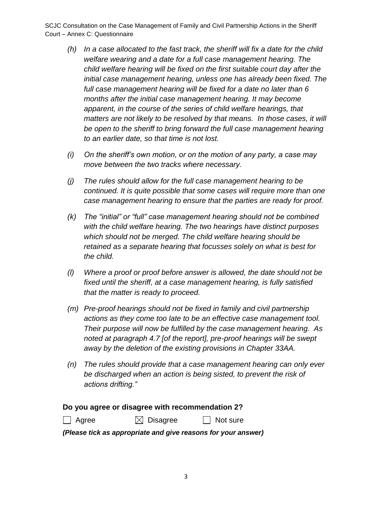- *(h) In a case allocated to the fast track, the sheriff will fix a date for the child welfare wearing and a date for a full case management hearing. The child welfare hearing will be fixed on the first suitable court day after the initial case management hearing, unless one has already been fixed. The full case management hearing will be fixed for a date no later than 6 months after the initial case management hearing. It may become apparent, in the course of the series of child welfare hearings, that*  matters are not likely to be resolved by that means. In those cases, it will *be open to the sheriff to bring forward the full case management hearing to an earlier date, so that time is not lost.*
- *(i) On the sheriff's own motion, or on the motion of any party, a case may move between the two tracks where necessary.*
- *(j) The rules should allow for the full case management hearing to be continued. It is quite possible that some cases will require more than one case management hearing to ensure that the parties are ready for proof.*
- *(k) The "initial" or "full" case management hearing should not be combined with the child welfare hearing. The two hearings have distinct purposes which should not be merged. The child welfare hearing should be retained as a separate hearing that focusses solely on what is best for the child.*
- *(l) Where a proof or proof before answer is allowed, the date should not be fixed until the sheriff, at a case management hearing, is fully satisfied that the matter is ready to proceed.*
- *(m) Pre-proof hearings should not be fixed in family and civil partnership actions as they come too late to be an effective case management tool. Their purpose will now be fulfilled by the case management hearing. As noted at paragraph 4.7 [of the report], pre-proof hearings will be swept away by the deletion of the existing provisions in Chapter 33AA.*
- *(n) The rules should provide that a case management hearing can only ever be discharged when an action is being sisted, to prevent the risk of actions drifting."*

### **Do you agree or disagree with recommendation 2?**

 $\Box$  Agree  $\Box$  Disagree  $\Box$  Not sure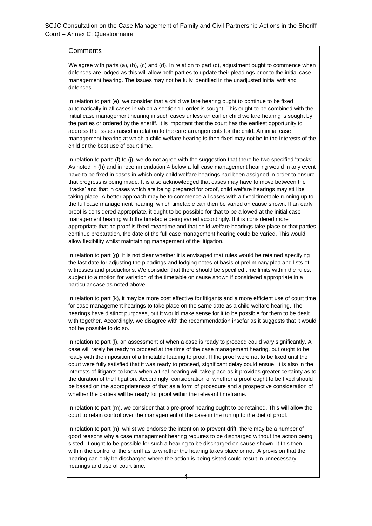We agree with parts (a), (b), (c) and (d). In relation to part (c), adjustment ought to commence when defences are lodged as this will allow both parties to update their pleadings prior to the initial case management hearing. The issues may not be fully identified in the unadjusted initial writ and defences.

In relation to part (e), we consider that a child welfare hearing ought to continue to be fixed automatically in all cases in which a section 11 order is sought. This ought to be combined with the initial case management hearing in such cases unless an earlier child welfare hearing is sought by the parties or ordered by the sheriff. It is important that the court has the earliest opportunity to address the issues raised in relation to the care arrangements for the child. An initial case management hearing at which a child welfare hearing is then fixed may not be in the interests of the child or the best use of court time.

In relation to parts (f) to (j), we do not agree with the suggestion that there be two specified 'tracks'. As noted in (h) and in recommendation 4 below a full case management hearing would in any event have to be fixed in cases in which only child welfare hearings had been assigned in order to ensure that progress is being made. It is also acknowledged that cases may have to move between the 'tracks' and that in cases which are being prepared for proof, child welfare hearings may still be taking place. A better approach may be to commence all cases with a fixed timetable running up to the full case management hearing, which timetable can then be varied on cause shown. If an early proof is considered appropriate, it ought to be possible for that to be allowed at the initial case management hearing with the timetable being varied accordingly. If it is considered more appropriate that no proof is fixed meantime and that child welfare hearings take place or that parties continue preparation, the date of the full case management hearing could be varied. This would allow flexibility whilst maintaining management of the litigation.

In relation to part (g), it is not clear whether it is envisaged that rules would be retained specifying the last date for adjusting the pleadings and lodging notes of basis of preliminary plea and lists of witnesses and productions. We consider that there should be specified time limits within the rules, subject to a motion for variation of the timetable on cause shown if considered appropriate in a particular case as noted above.

In relation to part (k), it may be more cost effective for litigants and a more efficient use of court time for case management hearings to take place on the same date as a child welfare hearing. The hearings have distinct purposes, but it would make sense for it to be possible for them to be dealt with together. Accordingly, we disagree with the recommendation insofar as it suggests that it would not be possible to do so.

In relation to part (l), an assessment of when a case is ready to proceed could vary significantly. A case will rarely be ready to proceed at the time of the case management hearing, but ought to be ready with the imposition of a timetable leading to proof. If the proof were not to be fixed until the court were fully satisfied that it was ready to proceed, significant delay could ensue. It is also in the interests of litigants to know when a final hearing will take place as it provides greater certainty as to the duration of the litigation. Accordingly, consideration of whether a proof ought to be fixed should be based on the appropriateness of that as a form of procedure and a prospective consideration of whether the parties will be ready for proof within the relevant timeframe.

In relation to part (m), we consider that a pre-proof hearing ought to be retained. This will allow the court to retain control over the management of the case in the run up to the diet of proof.

In relation to part (n), whilst we endorse the intention to prevent drift, there may be a number of good reasons why a case management hearing requires to be discharged without the action being sisted. It ought to be possible for such a hearing to be discharged on cause shown. It this then within the control of the sheriff as to whether the hearing takes place or not. A provision that the hearing can only be discharged where the action is being sisted could result in unnecessary hearings and use of court time.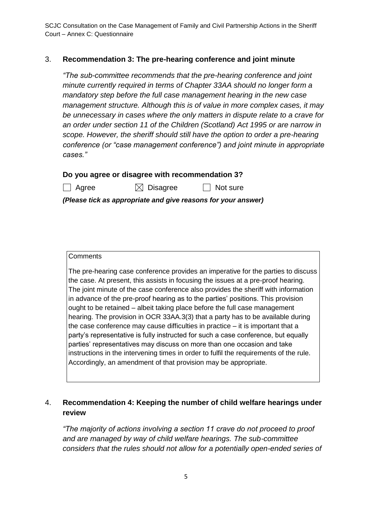### 3. **Recommendation 3: The pre-hearing conference and joint minute**

*"The sub-committee recommends that the pre-hearing conference and joint minute currently required in terms of Chapter 33AA should no longer form a mandatory step before the full case management hearing in the new case management structure. Although this is of value in more complex cases, it may be unnecessary in cases where the only matters in dispute relate to a crave for an order under section 11 of the Children (Scotland) Act 1995 or are narrow in scope. However, the sheriff should still have the option to order a pre-hearing conference (or "case management conference") and joint minute in appropriate cases."*

|  |  | Do you agree or disagree with recommendation 3? |
|--|--|-------------------------------------------------|
|--|--|-------------------------------------------------|

 $\Box$  Agree  $\Box$   $\boxtimes$  Disagree  $\Box$  Not sure

*(Please tick as appropriate and give reasons for your answer)*

#### **Comments**

The pre-hearing case conference provides an imperative for the parties to discuss the case. At present, this assists in focusing the issues at a pre-proof hearing. The joint minute of the case conference also provides the sheriff with information in advance of the pre-proof hearing as to the parties' positions. This provision ought to be retained – albeit taking place before the full case management hearing. The provision in OCR 33AA.3(3) that a party has to be available during the case conference may cause difficulties in practice – it is important that a party's representative is fully instructed for such a case conference, but equally parties' representatives may discuss on more than one occasion and take instructions in the intervening times in order to fulfil the requirements of the rule. Accordingly, an amendment of that provision may be appropriate.

# 4. **Recommendation 4: Keeping the number of child welfare hearings under review**

*"The majority of actions involving a section 11 crave do not proceed to proof and are managed by way of child welfare hearings. The sub-committee considers that the rules should not allow for a potentially open-ended series of*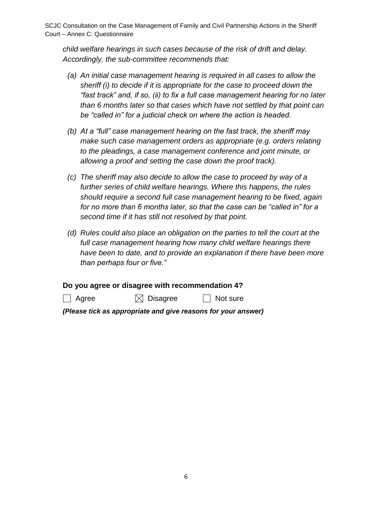*child welfare hearings in such cases because of the risk of drift and delay. Accordingly, the sub-committee recommends that:* 

- *(a) An initial case management hearing is required in all cases to allow the sheriff (i) to decide if it is appropriate for the case to proceed down the "fast track" and, if so, (ii) to fix a full case management hearing for no later than 6 months later so that cases which have not settled by that point can be "called in" for a judicial check on where the action is headed.*
- *(b) At a "full" case management hearing on the fast track, the sheriff may make such case management orders as appropriate (e.g. orders relating to the pleadings, a case management conference and joint minute, or allowing a proof and setting the case down the proof track).*
- *(c) The sheriff may also decide to allow the case to proceed by way of a further series of child welfare hearings. Where this happens, the rules should require a second full case management hearing to be fixed, again for no more than 6 months later, so that the case can be "called in" for a second time if it has still not resolved by that point.*
- *(d) Rules could also place an obligation on the parties to tell the court at the*  full case management hearing how many child welfare hearings there *have been to date, and to provide an explanation if there have been more than perhaps four or five."*

**Do you agree or disagree with recommendation 4?**

 $\Box$  Agree  $\Box$  Disagree  $\Box$  Not sure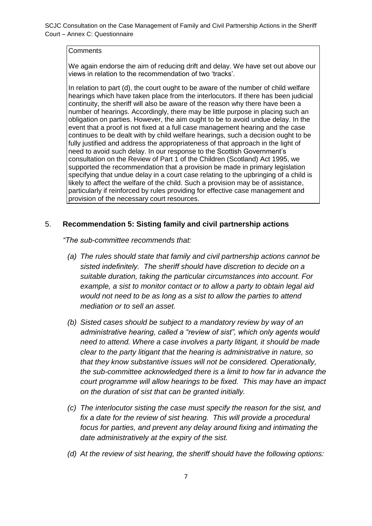#### **Comments**

We again endorse the aim of reducing drift and delay. We have set out above our views in relation to the recommendation of two 'tracks'.

In relation to part (d), the court ought to be aware of the number of child welfare hearings which have taken place from the interlocutors. If there has been judicial continuity, the sheriff will also be aware of the reason why there have been a number of hearings. Accordingly, there may be little purpose in placing such an obligation on parties. However, the aim ought to be to avoid undue delay. In the event that a proof is not fixed at a full case management hearing and the case continues to be dealt with by child welfare hearings, such a decision ought to be fully justified and address the appropriateness of that approach in the light of need to avoid such delay. In our response to the Scottish Government's consultation on the Review of Part 1 of the Children (Scotland) Act 1995, we supported the recommendation that a provision be made in primary legislation specifying that undue delay in a court case relating to the upbringing of a child is likely to affect the welfare of the child. Such a provision may be of assistance, particularly if reinforced by rules providing for effective case management and provision of the necessary court resources.

#### 5. **Recommendation 5: Sisting family and civil partnership actions**

*"The sub-committee recommends that:*

- *(a) The rules should state that family and civil partnership actions cannot be sisted indefinitely. The sheriff should have discretion to decide on a suitable duration, taking the particular circumstances into account. For example, a sist to monitor contact or to allow a party to obtain legal aid would not need to be as long as a sist to allow the parties to attend mediation or to sell an asset.*
- *(b) Sisted cases should be subject to a mandatory review by way of an administrative hearing, called a "review of sist", which only agents would need to attend. Where a case involves a party litigant, it should be made clear to the party litigant that the hearing is administrative in nature, so that they know substantive issues will not be considered. Operationally, the sub-committee acknowledged there is a limit to how far in advance the court programme will allow hearings to be fixed. This may have an impact on the duration of sist that can be granted initially.*
- *(c) The interlocutor sisting the case must specify the reason for the sist, and*  fix a date for the review of sist hearing. This will provide a procedural *focus for parties, and prevent any delay around fixing and intimating the date administratively at the expiry of the sist.*
- *(d) At the review of sist hearing, the sheriff should have the following options:*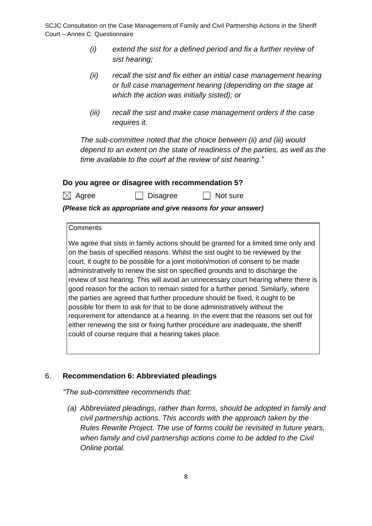- *(i) extend the sist for a defined period and fix a further review of sist hearing;*
- *(ii) recall the sist and fix either an initial case management hearing or full case management hearing (depending on the stage at which the action was initially sisted); or*
- *(iii) recall the sist and make case management orders if the case requires it.*

*The sub-committee noted that the choice between (ii) and (iii) would depend to an extent on the state of readiness of the parties, as well as the time available to the court at the review of sist hearing."* 

 $\Box$  Not sure

### **Do you agree or disagree with recommendation 5?**

| $\boxtimes$ Agree |  | <b>J</b> Disagree |  |
|-------------------|--|-------------------|--|
|-------------------|--|-------------------|--|

*(Please tick as appropriate and give reasons for your answer)*

#### **Comments**

We agree that sists in family actions should be granted for a limited time only and on the basis of specified reasons. Whilst the sist ought to be reviewed by the court, it ought to be possible for a joint motion/motion of consent to be made administratively to renew the sist on specified grounds and to discharge the review of sist hearing. This will avoid an unnecessary court hearing where there is good reason for the action to remain sisted for a further period. Similarly, where the parties are agreed that further procedure should be fixed, it ought to be possible for them to ask for that to be done administratively without the requirement for attendance at a hearing. In the event that the reasons set out for either renewing the sist or fixing further procedure are inadequate, the sheriff could of course require that a hearing takes place.

### 6. **Recommendation 6: Abbreviated pleadings**

*"The sub-committee recommends that:*

*(a) Abbreviated pleadings, rather than forms, should be adopted in family and civil partnership actions. This accords with the approach taken by the Rules Rewrite Project. The use of forms could be revisited in future years, when family and civil partnership actions come to be added to the Civil Online portal.*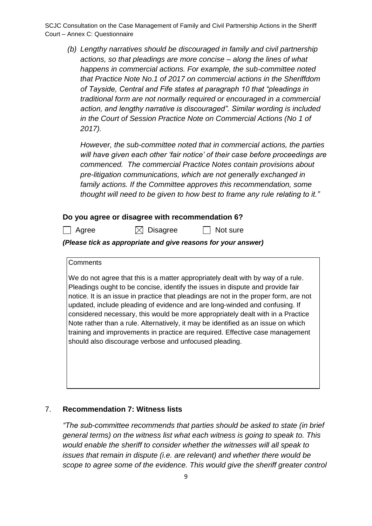*(b) Lengthy narratives should be discouraged in family and civil partnership actions, so that pleadings are more concise – along the lines of what happens in commercial actions. For example, the sub-committee noted that Practice Note No.1 of 2017 on commercial actions in the Sheriffdom of Tayside, Central and Fife states at paragraph 10 that "pleadings in traditional form are not normally required or encouraged in a commercial action, and lengthy narrative is discouraged". Similar wording is included in the Court of Session Practice Note on Commercial Actions (No 1 of 2017).* 

*However, the sub-committee noted that in commercial actions, the parties will have given each other 'fair notice' of their case before proceedings are commenced. The commercial Practice Notes contain provisions about pre-litigation communications, which are not generally exchanged in family actions. If the Committee approves this recommendation, some thought will need to be given to how best to frame any rule relating to it."* 

#### **Do you agree or disagree with recommendation 6?**

 $\Box$  Agree  $\Box$  Disagree  $\Box$  Not sure

*(Please tick as appropriate and give reasons for your answer)*

#### **Comments**

We do not agree that this is a matter appropriately dealt with by way of a rule. Pleadings ought to be concise, identify the issues in dispute and provide fair notice. It is an issue in practice that pleadings are not in the proper form, are not updated, include pleading of evidence and are long-winded and confusing. If considered necessary, this would be more appropriately dealt with in a Practice Note rather than a rule. Alternatively, it may be identified as an issue on which training and improvements in practice are required. Effective case management should also discourage verbose and unfocused pleading.

#### 7. **Recommendation 7: Witness lists**

*"The sub-committee recommends that parties should be asked to state (in brief general terms) on the witness list what each witness is going to speak to. This would enable the sheriff to consider whether the witnesses will all speak to issues that remain in dispute (i.e. are relevant) and whether there would be scope to agree some of the evidence. This would give the sheriff greater control*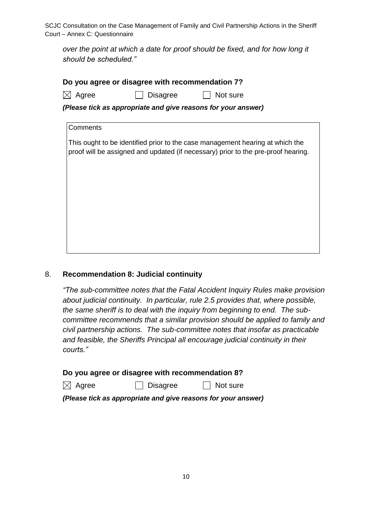*over the point at which a date for proof should be fixed, and for how long it should be scheduled."*

| Do you agree or disagree with recommendation 7?               |                                                                                                                                                                                |  |  |  |
|---------------------------------------------------------------|--------------------------------------------------------------------------------------------------------------------------------------------------------------------------------|--|--|--|
|                                                               | Agree<br>Not sure<br>Disagree                                                                                                                                                  |  |  |  |
| (Please tick as appropriate and give reasons for your answer) |                                                                                                                                                                                |  |  |  |
|                                                               | Comments<br>This ought to be identified prior to the case management hearing at which the<br>proof will be assigned and updated (if necessary) prior to the pre-proof hearing. |  |  |  |
|                                                               |                                                                                                                                                                                |  |  |  |
|                                                               |                                                                                                                                                                                |  |  |  |
|                                                               |                                                                                                                                                                                |  |  |  |

### 8. **Recommendation 8: Judicial continuity**

*"The sub-committee notes that the Fatal Accident Inquiry Rules make provision about judicial continuity. In particular, rule 2.5 provides that, where possible, the same sheriff is to deal with the inquiry from beginning to end. The subcommittee recommends that a similar provision should be applied to family and civil partnership actions. The sub-committee notes that insofar as practicable and feasible, the Sheriffs Principal all encourage judicial continuity in their courts."* 

**Do you agree or disagree with recommendation 8?**

 $\boxtimes$  Agree  $\Box$  Disagree  $\Box$  Not sure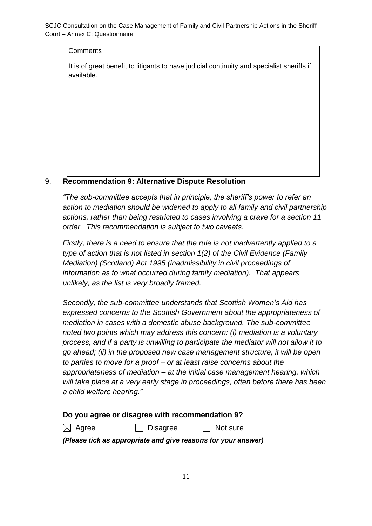It is of great benefit to litigants to have judicial continuity and specialist sheriffs if available.

### 9. **Recommendation 9: Alternative Dispute Resolution**

*"The sub-committee accepts that in principle, the sheriff's power to refer an action to mediation should be widened to apply to all family and civil partnership actions, rather than being restricted to cases involving a crave for a section 11 order. This recommendation is subject to two caveats.*

*Firstly, there is a need to ensure that the rule is not inadvertently applied to a type of action that is not listed in section 1(2) of the Civil Evidence (Family Mediation) (Scotland) Act 1995 (inadmissibility in civil proceedings of information as to what occurred during family mediation). That appears unlikely, as the list is very broadly framed.* 

*Secondly, the sub-committee understands that Scottish Women's Aid has expressed concerns to the Scottish Government about the appropriateness of mediation in cases with a domestic abuse background. The sub-committee noted two points which may address this concern: (i) mediation is a voluntary process, and if a party is unwilling to participate the mediator will not allow it to go ahead; (ii) in the proposed new case management structure, it will be open to parties to move for a proof – or at least raise concerns about the appropriateness of mediation – at the initial case management hearing, which will take place at a very early stage in proceedings, often before there has been a child welfare hearing."*

### **Do you agree or disagree with recommendation 9?**

 $\boxtimes$  Agree  $\Box$  Disagree  $\Box$  Not sure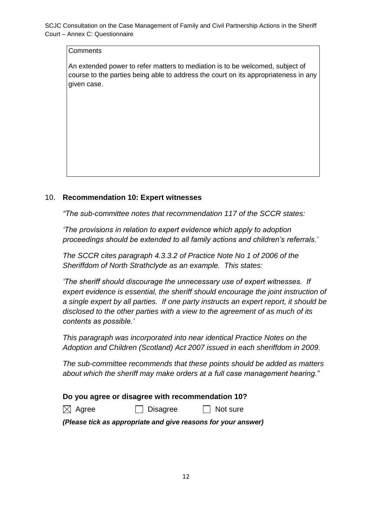**Comments** 

An extended power to refer matters to mediation is to be welcomed, subject of course to the parties being able to address the court on its appropriateness in any given case.

### 10. **Recommendation 10: Expert witnesses**

*"The sub-committee notes that recommendation 117 of the SCCR states:* 

*'The provisions in relation to expert evidence which apply to adoption proceedings should be extended to all family actions and children's referrals.'* 

*The SCCR cites paragraph 4.3.3.2 of Practice Note No 1 of 2006 of the Sheriffdom of North Strathclyde as an example. This states:* 

*'The sheriff should discourage the unnecessary use of expert witnesses. If expert evidence is essential, the sheriff should encourage the joint instruction of a single expert by all parties. If one party instructs an expert report, it should be disclosed to the other parties with a view to the agreement of as much of its contents as possible.'* 

*This paragraph was incorporated into near identical Practice Notes on the Adoption and Children (Scotland) Act 2007 issued in each sheriffdom in 2009.*

*The sub-committee recommends that these points should be added as matters about which the sheriff may make orders at a full case management hearing."*

### **Do you agree or disagree with recommendation 10?**

 $\boxtimes$  Agree  $\Box$  Disagree  $\Box$  Not sure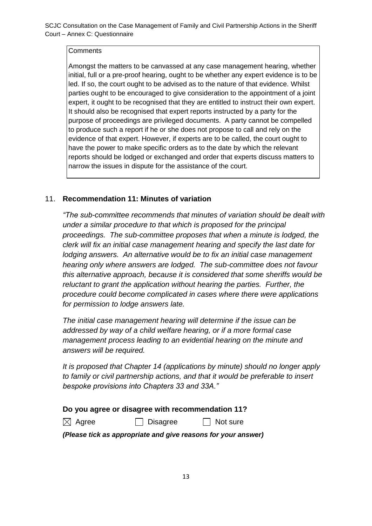Amongst the matters to be canvassed at any case management hearing, whether initial, full or a pre-proof hearing, ought to be whether any expert evidence is to be led. If so, the court ought to be advised as to the nature of that evidence. Whilst parties ought to be encouraged to give consideration to the appointment of a joint expert, it ought to be recognised that they are entitled to instruct their own expert. It should also be recognised that expert reports instructed by a party for the purpose of proceedings are privileged documents. A party cannot be compelled to produce such a report if he or she does not propose to call and rely on the evidence of that expert. However, if experts are to be called, the court ought to have the power to make specific orders as to the date by which the relevant reports should be lodged or exchanged and order that experts discuss matters to narrow the issues in dispute for the assistance of the court.

# 11. **Recommendation 11: Minutes of variation**

*"The sub-committee recommends that minutes of variation should be dealt with under a similar procedure to that which is proposed for the principal proceedings. The sub-committee proposes that when a minute is lodged, the clerk will fix an initial case management hearing and specify the last date for lodging answers. An alternative would be to fix an initial case management hearing only where answers are lodged. The sub-committee does not favour this alternative approach, because it is considered that some sheriffs would be reluctant to grant the application without hearing the parties. Further, the procedure could become complicated in cases where there were applications for permission to lodge answers late.* 

*The initial case management hearing will determine if the issue can be addressed by way of a child welfare hearing, or if a more formal case management process leading to an evidential hearing on the minute and answers will be required.* 

*It is proposed that Chapter 14 (applications by minute) should no longer apply to family or civil partnership actions, and that it would be preferable to insert bespoke provisions into Chapters 33 and 33A."* 

### **Do you agree or disagree with recommendation 11?**

 $\boxtimes$  Agree  $\Box$  Disagree  $\Box$  Not sure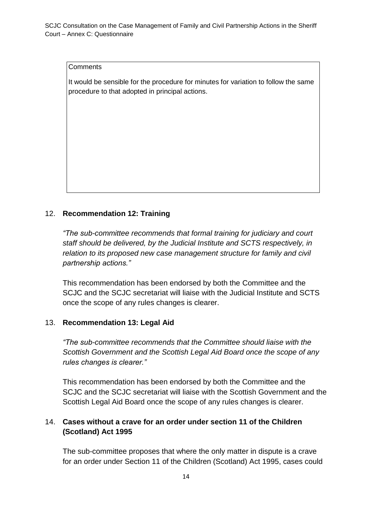It would be sensible for the procedure for minutes for variation to follow the same procedure to that adopted in principal actions.

## 12. **Recommendation 12: Training**

*"The sub-committee recommends that formal training for judiciary and court staff should be delivered, by the Judicial Institute and SCTS respectively, in relation to its proposed new case management structure for family and civil partnership actions."*

This recommendation has been endorsed by both the Committee and the SCJC and the SCJC secretariat will liaise with the Judicial Institute and SCTS once the scope of any rules changes is clearer.

### 13. **Recommendation 13: Legal Aid**

*"The sub-committee recommends that the Committee should liaise with the Scottish Government and the Scottish Legal Aid Board once the scope of any rules changes is clearer."*

This recommendation has been endorsed by both the Committee and the SCJC and the SCJC secretariat will liaise with the Scottish Government and the Scottish Legal Aid Board once the scope of any rules changes is clearer.

# 14. **Cases without a crave for an order under section 11 of the Children (Scotland) Act 1995**

The sub-committee proposes that where the only matter in dispute is a crave for an order under Section 11 of the Children (Scotland) Act 1995, cases could